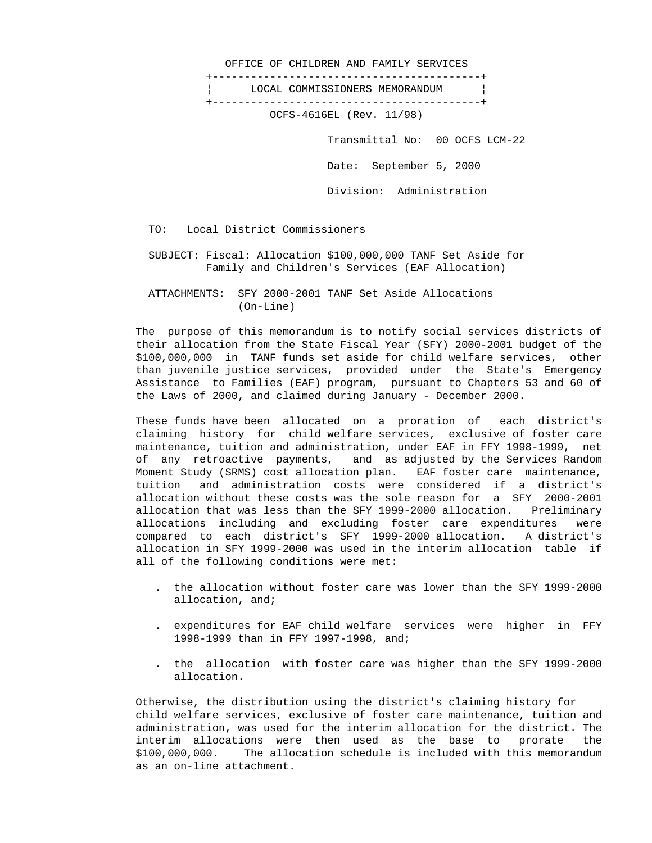OFFICE OF CHILDREN AND FAMILY SERVICES +------------------------------------------+ ¦ LOCAL COMMISSIONERS MEMORANDUM ¦ +------------------------------------------+ OCFS-4616EL (Rev. 11/98) Transmittal No: 00 OCFS LCM-22 Date: September 5, 2000 Division: Administration

TO: Local District Commissioners

 SUBJECT: Fiscal: Allocation \$100,000,000 TANF Set Aside for Family and Children's Services (EAF Allocation)

 ATTACHMENTS: SFY 2000-2001 TANF Set Aside Allocations (On-Line)

 The purpose of this memorandum is to notify social services districts of their allocation from the State Fiscal Year (SFY) 2000-2001 budget of the \$100,000,000 in TANF funds set aside for child welfare services, other than juvenile justice services, provided under the State's Emergency Assistance to Families (EAF) program, pursuant to Chapters 53 and 60 of the Laws of 2000, and claimed during January - December 2000.

 These funds have been allocated on a proration of each district's claiming history for child welfare services, exclusive of foster care maintenance, tuition and administration, under EAF in FFY 1998-1999, net of any retroactive payments, and as adjusted by the Services Random Moment Study (SRMS) cost allocation plan. EAF foster care maintenance, tuition and administration costs were considered if a district's allocation without these costs was the sole reason for a SFY 2000-2001 allocation that was less than the SFY 1999-2000 allocation. Preliminary allocations including and excluding foster care expenditures were compared to each district's SFY 1999-2000 allocation. A district's allocation in SFY 1999-2000 was used in the interim allocation table if all of the following conditions were met:

- . the allocation without foster care was lower than the SFY 1999-2000 allocation, and;
- . expenditures for EAF child welfare services were higher in FFY 1998-1999 than in FFY 1997-1998, and;
- . the allocation with foster care was higher than the SFY 1999-2000 allocation.

 Otherwise, the distribution using the district's claiming history for child welfare services, exclusive of foster care maintenance, tuition and administration, was used for the interim allocation for the district. The interim allocations were then used as the base to prorate the \$100,000,000. The allocation schedule is included with this memorandum as an on-line attachment.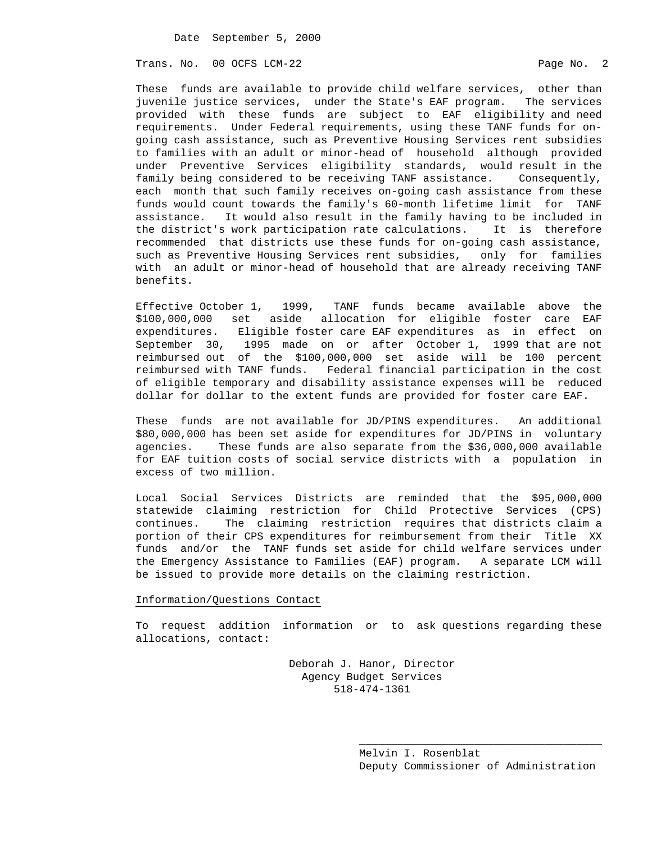Trans. No. 00 OCFS LCM-22 **Page No. 2** Page No. 2

 These funds are available to provide child welfare services, other than juvenile justice services, under the State's EAF program. The services provided with these funds are subject to EAF eligibility and need requirements. Under Federal requirements, using these TANF funds for on going cash assistance, such as Preventive Housing Services rent subsidies to families with an adult or minor-head of household although provided under Preventive Services eligibility standards, would result in the family being considered to be receiving TANF assistance. Consequently, each month that such family receives on-going cash assistance from these funds would count towards the family's 60-month lifetime limit for TANF assistance. It would also result in the family having to be included in the district's work participation rate calculations. It is therefore recommended that districts use these funds for on-going cash assistance, such as Preventive Housing Services rent subsidies, only for families with an adult or minor-head of household that are already receiving TANF benefits.

 Effective October 1, 1999, TANF funds became available above the \$100,000,000 set aside allocation for eligible foster care EAF expenditures. Eligible foster care EAF expenditures as in effect on September 30, 1995 made on or after October 1, 1999 that are not reimbursed out of the \$100,000,000 set aside will be 100 percent reimbursed with TANF funds. Federal financial participation in the cost of eligible temporary and disability assistance expenses will be reduced dollar for dollar to the extent funds are provided for foster care EAF.

 These funds are not available for JD/PINS expenditures. An additional \$80,000,000 has been set aside for expenditures for JD/PINS in voluntary agencies. These funds are also separate from the \$36,000,000 available for EAF tuition costs of social service districts with a population in excess of two million.

 Local Social Services Districts are reminded that the \$95,000,000 statewide claiming restriction for Child Protective Services (CPS) continues. The claiming restriction requires that districts claim a portion of their CPS expenditures for reimbursement from their Title XX funds and/or the TANF funds set aside for child welfare services under the Emergency Assistance to Families (EAF) program. A separate LCM will be issued to provide more details on the claiming restriction.

## Information/Questions Contact

 To request addition information or to ask questions regarding these allocations, contact:

> Deborah J. Hanor, Director Agency Budget Services 518-474-1361

 $\overline{\phantom{a}}$  , and the contract of the contract of the contract of the contract of the contract of the contract of the contract of the contract of the contract of the contract of the contract of the contract of the contrac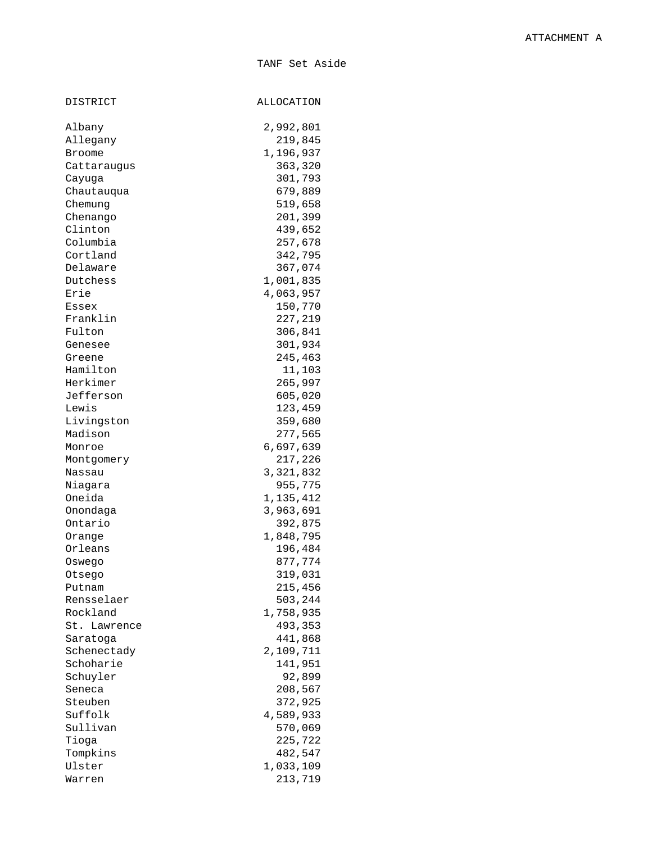TANF Set Aside

| DISTRICT     | ALLOCATION |
|--------------|------------|
| Albany       | 2,992,801  |
| Allegany     | 219,845    |
| Broome       | 1,196,937  |
| Cattaraugus  | 363,320    |
| Cayuga       | 301,793    |
| Chautauqua   | 679,889    |
| Chemung      | 519,658    |
| Chenango     | 201,399    |
| Clinton      | 439,652    |
| Columbia     | 257,678    |
| Cortland     | 342,795    |
| Delaware     | 367,074    |
| Dutchess     | 1,001,835  |
| Erie         | 4,063,957  |
| Essex        | 150,770    |
| Franklin     | 227,219    |
|              |            |
| Fulton       | 306,841    |
| Genesee      | 301,934    |
| Greene       | 245,463    |
| Hamilton     | 11,103     |
| Herkimer     | 265,997    |
| Jefferson    | 605,020    |
| Lewis        | 123,459    |
| Livingston   | 359,680    |
| Madison      | 277,565    |
| Monroe       | 6,697,639  |
| Montgomery   | 217,226    |
| Nassau       | 3,321,832  |
| Niagara      | 955,775    |
| Oneida       | 1,135,412  |
| Onondaga     | 3,963,691  |
| Ontario      | 392,875    |
| Orange       | 1,848,795  |
| Orleans      | 196,484    |
| Oswego       | 877,774    |
| Otsego       | 319,031    |
| Putnam       | 215,456    |
| Rensselaer   | 503,244    |
| Rockland     | 1,758,935  |
| St. Lawrence | 493,353    |
| Saratoga     | 441,868    |
| Schenectady  | 2,109,711  |
| Schoharie    | 141,951    |
| Schuyler     | 92,899     |
| Seneca       | 208,567    |
| Steuben      | 372,925    |
| Suffolk      | 4,589,933  |
| Sullivan     | 570,069    |
| Tioga        | 225,722    |
| Tompkins     | 482,547    |
| Ulster       | 1,033,109  |
| Warren       | 213,719    |